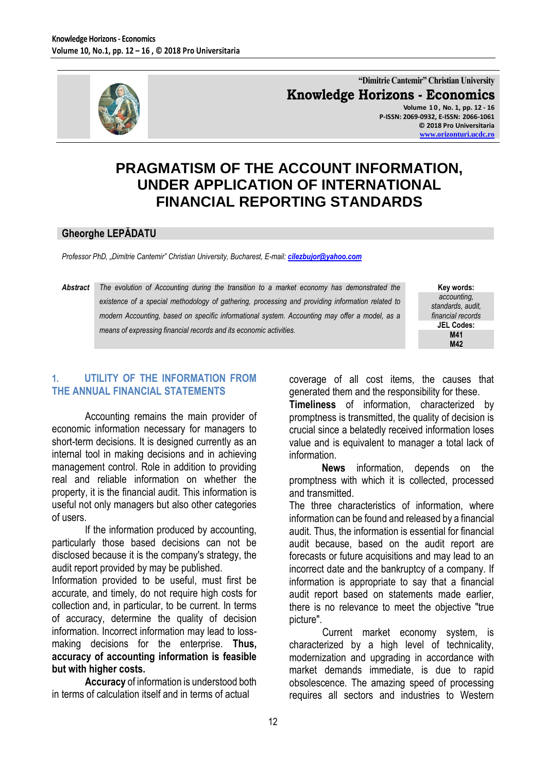

**"Dimitrie Cantemir" Christian University Knowledge Horizons - Economics Volume 1 0 , No. 1, pp. 12 - 16 P-ISSN: 2069-0932, E-ISSN: 2066-1061 © 2018 Pro Universitaria**

**[www.orizonturi.ucdc.ro](http://www.orizonturi.ucdc.ro/)**

# **PRAGMATISM OF THE ACCOUNT INFORMATION, UNDER APPLICATION OF INTERNATIONAL FINANCIAL REPORTING STANDARDS**

#### **Gheorghe LEPĂDATU**

*Professor PhD, "Dimitrie Cantemir" Christian University, Bucharest, E-mail: [cilezbujor@yahoo.com](mailto:cilezbujor@yahoo.com)*

### *Abstract The evolution of Accounting during the transition to a market economy has demonstrated the existence of a special methodology of gathering, processing and providing information related to modern Accounting, based on specific informational system. Accounting may offer a model, as a means of expressing financial records and its economic activities.*

**Key words:** *accounting, standards, audit, financial records* **JEL Codes: M41 M42**

### **1. UTILITY OF THE INFORMATION FROM THE ANNUAL FINANCIAL STATEMENTS**

Accounting remains the main provider of economic information necessary for managers to short-term decisions. It is designed currently as an internal tool in making decisions and in achieving management control. Role in addition to providing real and reliable information on whether the property, it is the financial audit. This information is useful not only managers but also other categories of users.

If the information produced by accounting, particularly those based decisions can not be disclosed because it is the company's strategy, the audit report provided by may be published.

Information provided to be useful, must first be accurate, and timely, do not require high costs for collection and, in particular, to be current. In terms of accuracy, determine the quality of decision information. Incorrect information may lead to lossmaking decisions for the enterprise. **Thus, accuracy of accounting information is feasible but with higher costs.**

**Accuracy** of information is understood both in terms of calculation itself and in terms of actual

coverage of all cost items, the causes that generated them and the responsibility for these.

**Timeliness** of information, characterized by promptness is transmitted, the quality of decision is crucial since a belatedly received information loses value and is equivalent to manager a total lack of information.

**News** information, depends on the promptness with which it is collected, processed and transmitted.

The three characteristics of information, where information can be found and released by a financial audit. Thus, the information is essential for financial audit because, based on the audit report are forecasts or future acquisitions and may lead to an incorrect date and the bankruptcy of a company. If information is appropriate to say that a financial audit report based on statements made earlier, there is no relevance to meet the objective "true picture".

Current market economy system, is characterized by a high level of technicality, modernization and upgrading in accordance with market demands immediate, is due to rapid obsolescence. The amazing speed of processing requires all sectors and industries to Western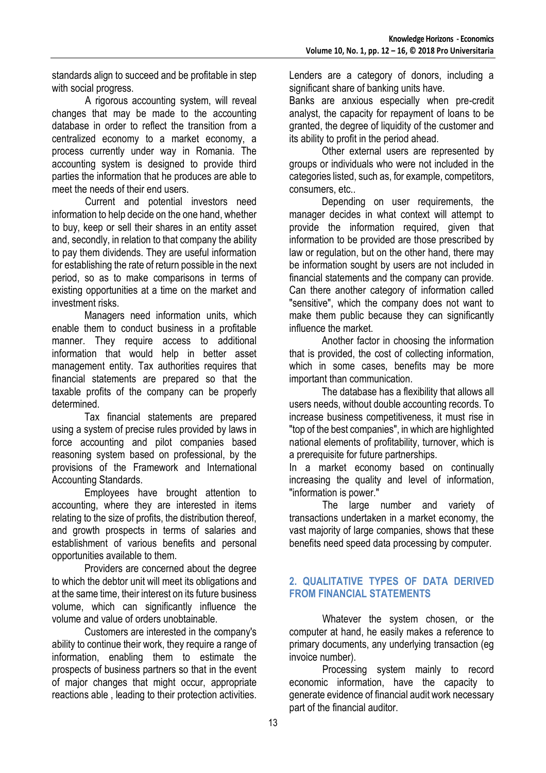standards align to succeed and be profitable in step with social progress.

A rigorous accounting system, will reveal changes that may be made to the accounting database in order to reflect the transition from a centralized economy to a market economy, a process currently under way in Romania. The accounting system is designed to provide third parties the information that he produces are able to meet the needs of their end users.

Current and potential investors need information to help decide on the one hand, whether to buy, keep or sell their shares in an entity asset and, secondly, in relation to that company the ability to pay them dividends. They are useful information for establishing the rate of return possible in the next period, so as to make comparisons in terms of existing opportunities at a time on the market and investment risks.

Managers need information units, which enable them to conduct business in a profitable manner. They require access to additional information that would help in better asset management entity. Tax authorities requires that financial statements are prepared so that the taxable profits of the company can be properly determined.

Tax financial statements are prepared using a system of precise rules provided by laws in force accounting and pilot companies based reasoning system based on professional, by the provisions of the Framework and International Accounting Standards.

Employees have brought attention to accounting, where they are interested in items relating to the size of profits, the distribution thereof, and growth prospects in terms of salaries and establishment of various benefits and personal opportunities available to them.

Providers are concerned about the degree to which the debtor unit will meet its obligations and at the same time, their interest on its future business volume, which can significantly influence the volume and value of orders unobtainable.

Customers are interested in the company's ability to continue their work, they require a range of information, enabling them to estimate the prospects of business partners so that in the event of major changes that might occur, appropriate reactions able , leading to their protection activities.

Lenders are a category of donors, including a significant share of banking units have.

Banks are anxious especially when pre-credit analyst, the capacity for repayment of loans to be granted, the degree of liquidity of the customer and its ability to profit in the period ahead.

Other external users are represented by groups or individuals who were not included in the categories listed, such as, for example, competitors, consumers, etc..

Depending on user requirements, the manager decides in what context will attempt to provide the information required, given that information to be provided are those prescribed by law or regulation, but on the other hand, there may be information sought by users are not included in financial statements and the company can provide. Can there another category of information called "sensitive", which the company does not want to make them public because they can significantly influence the market.

Another factor in choosing the information that is provided, the cost of collecting information, which in some cases, benefits may be more important than communication.

The database has a flexibility that allows all users needs, without double accounting records. To increase business competitiveness, it must rise in "top of the best companies", in which are highlighted national elements of profitability, turnover, which is a prerequisite for future partnerships.

In a market economy based on continually increasing the quality and level of information, "information is power."

The large number and variety of transactions undertaken in a market economy, the vast majority of large companies, shows that these benefits need speed data processing by computer.

## **2. QUALITATIVE TYPES OF DATA DERIVED FROM FINANCIAL STATEMENTS**

Whatever the system chosen, or the computer at hand, he easily makes a reference to primary documents, any underlying transaction (eg invoice number).

Processing system mainly to record economic information, have the capacity to generate evidence of financial audit work necessary part of the financial auditor.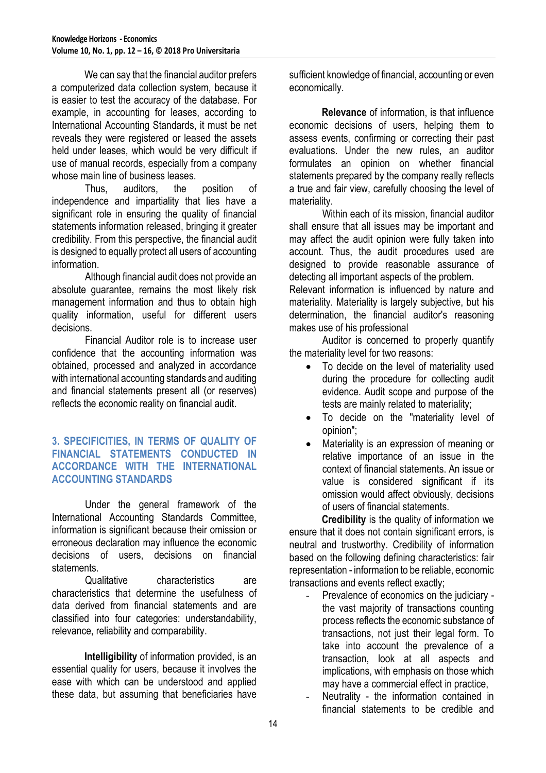We can say that the financial auditor prefers a computerized data collection system, because it is easier to test the accuracy of the database. For example, in accounting for leases, according to International Accounting Standards, it must be net reveals they were registered or leased the assets held under leases, which would be very difficult if use of manual records, especially from a company whose main line of business leases.

Thus, auditors, the position of independence and impartiality that lies have a significant role in ensuring the quality of financial statements information released, bringing it greater credibility. From this perspective, the financial audit is designed to equally protect all users of accounting information.

Although financial audit does not provide an absolute guarantee, remains the most likely risk management information and thus to obtain high quality information, useful for different users decisions.

Financial Auditor role is to increase user confidence that the accounting information was obtained, processed and analyzed in accordance with international accounting standards and auditing and financial statements present all (or reserves) reflects the economic reality on financial audit.

#### **3. SPECIFICITIES, IN TERMS OF QUALITY OF FINANCIAL STATEMENTS CONDUCTED IN ACCORDANCE WITH THE INTERNATIONAL ACCOUNTING STANDARDS**

Under the general framework of the International Accounting Standards Committee, information is significant because their omission or erroneous declaration may influence the economic decisions of users, decisions on financial **statements** 

Qualitative characteristics are characteristics that determine the usefulness of data derived from financial statements and are classified into four categories: understandability, relevance, reliability and comparability.

**Intelligibility** of information provided, is an essential quality for users, because it involves the ease with which can be understood and applied these data, but assuming that beneficiaries have sufficient knowledge of financial, accounting or even economically.

**Relevance** of information, is that influence economic decisions of users, helping them to assess events, confirming or correcting their past evaluations. Under the new rules, an auditor formulates an opinion on whether financial statements prepared by the company really reflects a true and fair view, carefully choosing the level of materiality.

Within each of its mission, financial auditor shall ensure that all issues may be important and may affect the audit opinion were fully taken into account. Thus, the audit procedures used are designed to provide reasonable assurance of detecting all important aspects of the problem.

Relevant information is influenced by nature and materiality. Materiality is largely subjective, but his determination, the financial auditor's reasoning makes use of his professional

Auditor is concerned to properly quantify the materiality level for two reasons:

- To decide on the level of materiality used during the procedure for collecting audit evidence. Audit scope and purpose of the tests are mainly related to materiality;
- To decide on the "materiality level of opinion";
- Materiality is an expression of meaning or relative importance of an issue in the context of financial statements. An issue or value is considered significant if its omission would affect obviously, decisions of users of financial statements.

**Credibility** is the quality of information we ensure that it does not contain significant errors, is neutral and trustworthy. Credibility of information based on the following defining characteristics: fair representation - information to be reliable, economic transactions and events reflect exactly;

- Prevalence of economics on the judiciary the vast majority of transactions counting process reflects the economic substance of transactions, not just their legal form. To take into account the prevalence of a transaction, look at all aspects and implications, with emphasis on those which may have a commercial effect in practice,
- Neutrality the information contained in financial statements to be credible and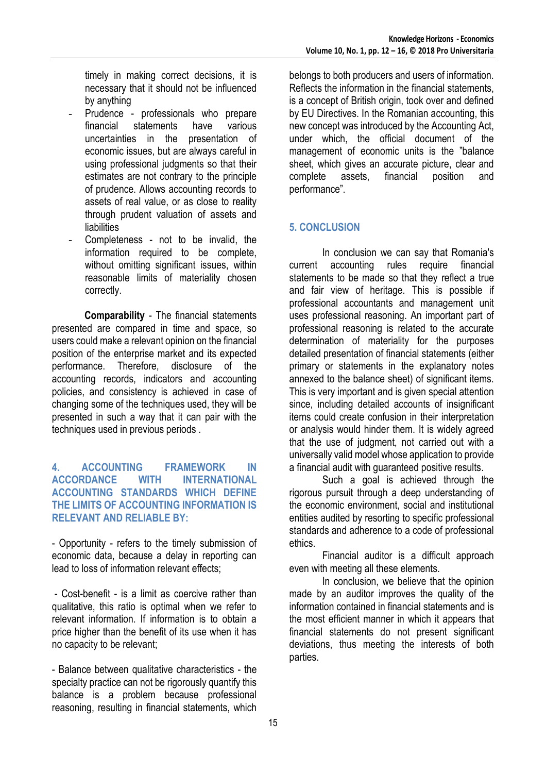timely in making correct decisions, it is necessary that it should not be influenced by anything

- Prudence professionals who prepare financial statements have various uncertainties in the presentation of economic issues, but are always careful in using professional judgments so that their estimates are not contrary to the principle of prudence. Allows accounting records to assets of real value, or as close to reality through prudent valuation of assets and liabilities
- Completeness not to be invalid, the information required to be complete, without omitting significant issues, within reasonable limits of materiality chosen correctly.

**Comparability** - The financial statements presented are compared in time and space, so users could make a relevant opinion on the financial position of the enterprise market and its expected performance. Therefore, disclosure of the accounting records, indicators and accounting policies, and consistency is achieved in case of changing some of the techniques used, they will be presented in such a way that it can pair with the techniques used in previous periods .

#### **4. ACCOUNTING FRAMEWORK IN ACCORDANCE WITH INTERNATIONAL ACCOUNTING STANDARDS WHICH DEFINE THE LIMITS OF ACCOUNTING INFORMATION IS RELEVANT AND RELIABLE BY:**

- Opportunity - refers to the timely submission of economic data, because a delay in reporting can lead to loss of information relevant effects;

- Cost-benefit - is a limit as coercive rather than qualitative, this ratio is optimal when we refer to relevant information. If information is to obtain a price higher than the benefit of its use when it has no capacity to be relevant;

- Balance between qualitative characteristics - the specialty practice can not be rigorously quantify this balance is a problem because professional reasoning, resulting in financial statements, which

belongs to both producers and users of information. Reflects the information in the financial statements, is a concept of British origin, took over and defined by EU Directives. In the Romanian accounting, this new concept was introduced by the Accounting Act, under which, the official document of the management of economic units is the "balance sheet, which gives an accurate picture, clear and complete assets, financial position and performance".

## **5. CONCLUSION**

In conclusion we can say that Romania's current accounting rules require financial statements to be made so that they reflect a true and fair view of heritage. This is possible if professional accountants and management unit uses professional reasoning. An important part of professional reasoning is related to the accurate determination of materiality for the purposes detailed presentation of financial statements (either primary or statements in the explanatory notes annexed to the balance sheet) of significant items. This is very important and is given special attention since, including detailed accounts of insignificant items could create confusion in their interpretation or analysis would hinder them. It is widely agreed that the use of judgment, not carried out with a universally valid model whose application to provide a financial audit with guaranteed positive results.

Such a goal is achieved through the rigorous pursuit through a deep understanding of the economic environment, social and institutional entities audited by resorting to specific professional standards and adherence to a code of professional ethics.

Financial auditor is a difficult approach even with meeting all these elements.

In conclusion, we believe that the opinion made by an auditor improves the quality of the information contained in financial statements and is the most efficient manner in which it appears that financial statements do not present significant deviations, thus meeting the interests of both parties.